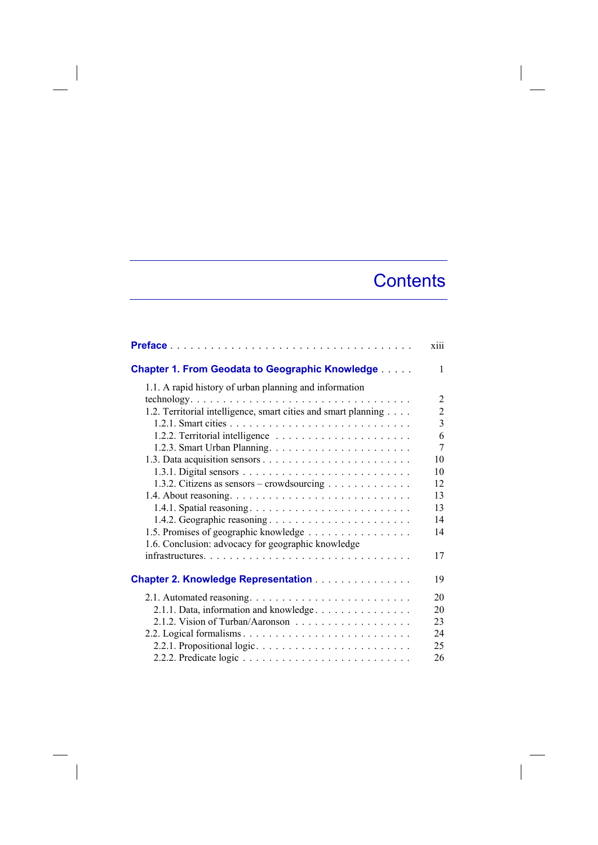## **Contents**

|                                                                | xiii           |
|----------------------------------------------------------------|----------------|
| <b>Chapter 1. From Geodata to Geographic Knowledge </b>        | 1              |
| 1.1. A rapid history of urban planning and information         |                |
|                                                                | 2              |
| 1.2. Territorial intelligence, smart cities and smart planning | $\overline{2}$ |
|                                                                | 3              |
|                                                                | 6              |
|                                                                | 7              |
|                                                                | 10             |
|                                                                | 10             |
| 1.3.2. Citizens as sensors – crowdsourcing                     | 12             |
|                                                                | 13             |
|                                                                | 13             |
|                                                                | 14             |
| 1.5. Promises of geographic knowledge                          | 14             |
| 1.6. Conclusion: advocacy for geographic knowledge             |                |
|                                                                | 17             |
| <b>Chapter 2. Knowledge Representation</b>                     | 19             |
|                                                                | 20             |
| 2.1.1. Data, information and knowledge.                        | 20             |
|                                                                | 23             |
| 2.2. Logical formalisms                                        | 24             |
|                                                                | 25             |
|                                                                | 26             |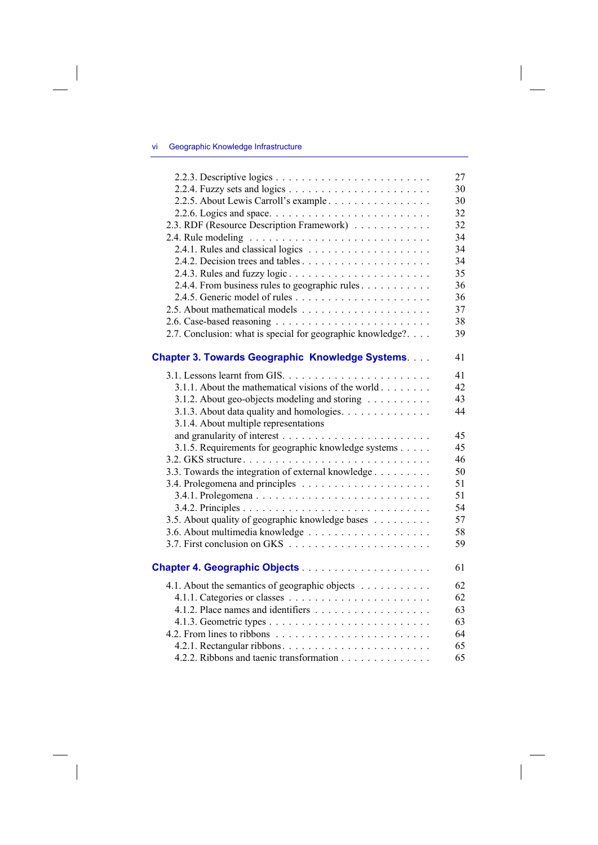## vi Geographic Knowledge Infrastructure

 $\overline{\phantom{a}}$ 

|                                                            | 27 |
|------------------------------------------------------------|----|
|                                                            | 30 |
| 2.2.5. About Lewis Carroll's example                       | 30 |
|                                                            | 32 |
| 2.3. RDF (Resource Description Framework)                  | 32 |
|                                                            | 34 |
|                                                            | 34 |
|                                                            | 34 |
| 2.4.3. Rules and fuzzy logic                               | 35 |
| 2.4.4. From business rules to geographic rules             | 36 |
|                                                            | 36 |
|                                                            | 37 |
|                                                            | 38 |
| 2.7. Conclusion: what is special for geographic knowledge? | 39 |
|                                                            |    |
| <b>Chapter 3. Towards Geographic Knowledge Systems</b>     | 41 |
|                                                            | 41 |
| 3.1.1. About the mathematical visions of the world         | 42 |
| 3.1.2. About geo-objects modeling and storing              | 43 |
| 3.1.3. About data quality and homologies.                  | 44 |
| 3.1.4. About multiple representations                      |    |
|                                                            | 45 |
| 3.1.5. Requirements for geographic knowledge systems       | 45 |
|                                                            | 46 |
| 3.3. Towards the integration of external knowledge         | 50 |
|                                                            | 51 |
|                                                            | 51 |
|                                                            | 54 |
| 3.5. About quality of geographic knowledge bases           | 57 |
|                                                            | 58 |
|                                                            | 59 |
|                                                            | 61 |
|                                                            |    |
| 4.1. About the semantics of geographic objects             | 62 |
|                                                            | 62 |
|                                                            | 63 |
|                                                            | 63 |
|                                                            | 64 |
|                                                            | 65 |
| 4.2.2. Ribbons and taenic transformation                   | 65 |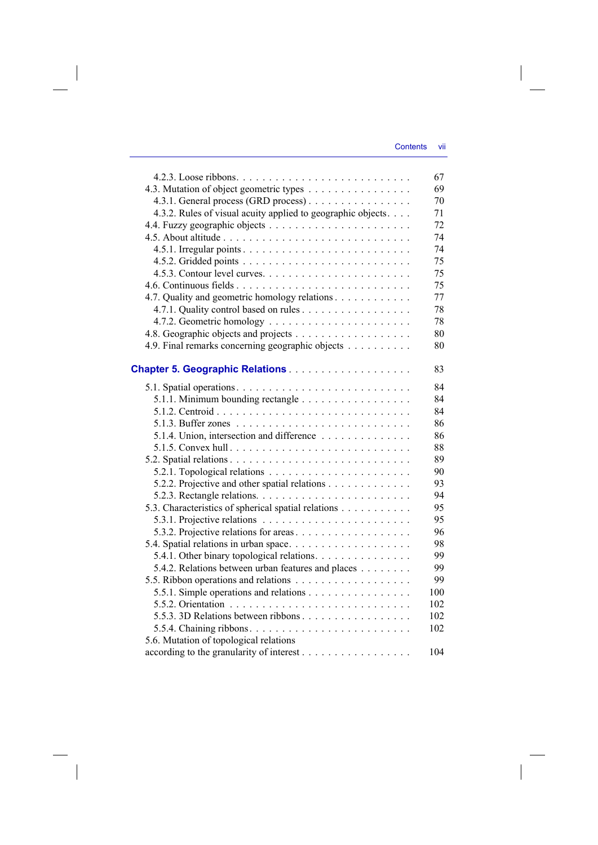$\overline{\phantom{a}}$ 

|                                                              | 67  |
|--------------------------------------------------------------|-----|
| 4.3. Mutation of object geometric types                      | 69  |
| 4.3.1. General process (GRD process)                         | 70  |
| 4.3.2. Rules of visual acuity applied to geographic objects. | 71  |
|                                                              | 72  |
|                                                              | 74  |
|                                                              | 74  |
|                                                              | 75  |
|                                                              | 75  |
|                                                              | 75  |
| 4.7. Quality and geometric homology relations                | 77  |
|                                                              | 78  |
|                                                              | 78  |
|                                                              | 80  |
| 4.9. Final remarks concerning geographic objects             | 80  |
|                                                              |     |
|                                                              | 83  |
|                                                              | 84  |
| 5.1.1. Minimum bounding rectangle                            | 84  |
|                                                              | 84  |
|                                                              | 86  |
| 5.1.4. Union, intersection and difference                    | 86  |
| 5.1.5. Convex hull                                           | 88  |
|                                                              | 89  |
|                                                              | 90  |
| 5.2.2. Projective and other spatial relations                | 93  |
|                                                              | 94  |
| 5.3. Characteristics of spherical spatial relations          | 95  |
|                                                              | 95  |
| 5.3.2. Projective relations for areas                        | 96  |
|                                                              | 98  |
| 5.4.1. Other binary topological relations.                   | 99  |
| 5.4.2. Relations between urban features and places           | 99  |
|                                                              | 99  |
| 5.5.1. Simple operations and relations                       | 100 |
|                                                              | 102 |
| 5.5.3. 3D Relations between ribbons                          | 102 |
|                                                              | 102 |
| 5.6. Mutation of topological relations                       |     |
| according to the granularity of interest                     | 104 |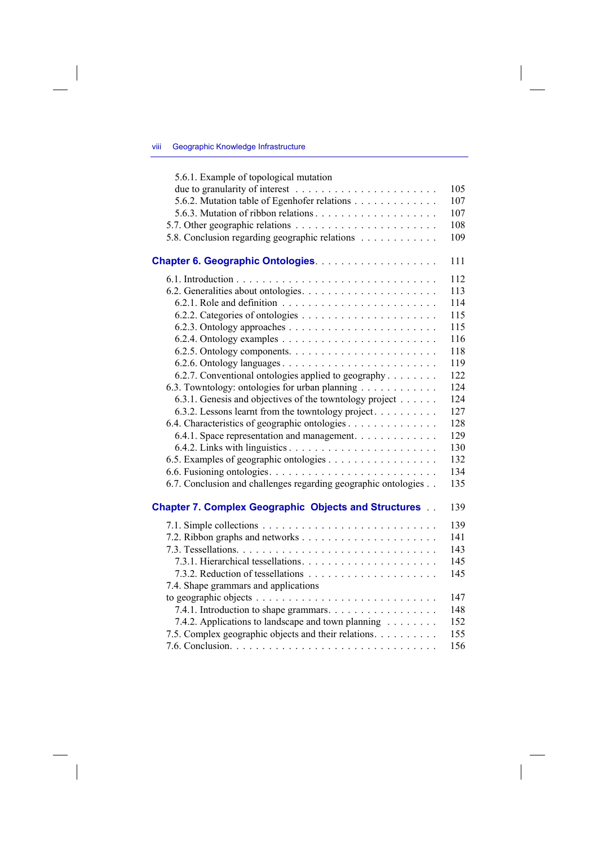## viii Geographic Knowledge Infrastructure

 $\overline{\phantom{a}}$ 

 $\begin{array}{c} \hline \end{array}$ 

| 5.6.1. Example of topological mutation                         |     |
|----------------------------------------------------------------|-----|
|                                                                | 105 |
| 5.6.2. Mutation table of Egenhofer relations                   | 107 |
|                                                                | 107 |
|                                                                | 108 |
| 5.8. Conclusion regarding geographic relations                 | 109 |
|                                                                | 111 |
|                                                                | 112 |
|                                                                | 113 |
|                                                                | 114 |
|                                                                | 115 |
|                                                                | 115 |
|                                                                | 116 |
|                                                                | 118 |
|                                                                | 119 |
| 6.2.7. Conventional ontologies applied to geography            | 122 |
| 6.3. Towntology: ontologies for urban planning                 | 124 |
| 6.3.1. Genesis and objectives of the towntology project        | 124 |
| 6.3.2. Lessons learnt from the towntology project.             | 127 |
| 6.4. Characteristics of geographic ontologies                  | 128 |
| 6.4.1. Space representation and management.                    | 129 |
|                                                                | 130 |
|                                                                | 132 |
|                                                                | 134 |
| 6.7. Conclusion and challenges regarding geographic ontologies | 135 |
| <b>Chapter 7. Complex Geographic Objects and Structures</b>    | 139 |
|                                                                | 139 |
|                                                                | 141 |
|                                                                | 143 |
|                                                                | 145 |
|                                                                | 145 |
| 7.4. Shape grammars and applications                           |     |
|                                                                | 147 |
| 7.4.1. Introduction to shape grammars.                         | 148 |
| 7.4.2. Applications to landscape and town planning             | 152 |
| 7.5. Complex geographic objects and their relations.           | 155 |
|                                                                | 156 |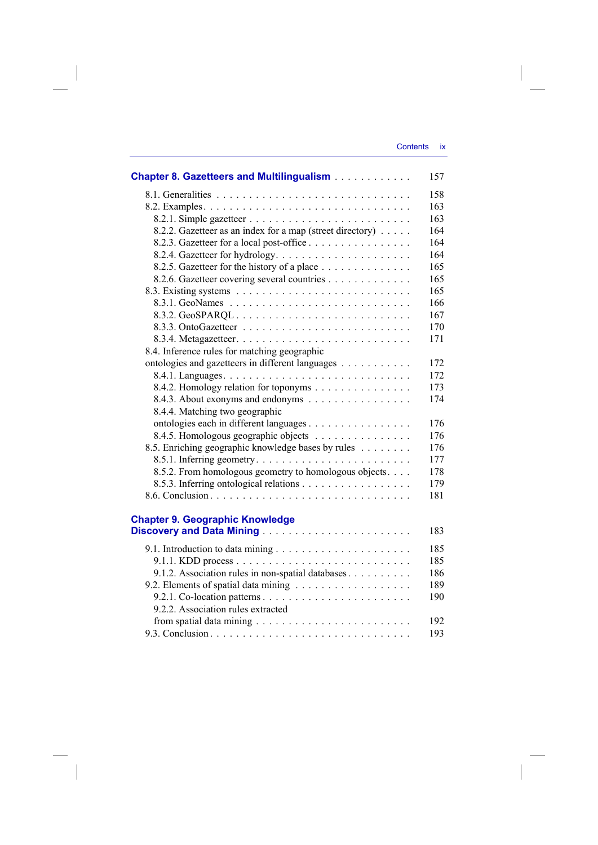$\overline{\phantom{a}}$ 

| <b>Chapter 8. Gazetteers and Multilingualism</b>          | 157 |
|-----------------------------------------------------------|-----|
|                                                           | 158 |
|                                                           | 163 |
|                                                           | 163 |
| 8.2.2. Gazetteer as an index for a map (street directory) | 164 |
| 8.2.3. Gazetteer for a local post-office                  | 164 |
|                                                           | 164 |
| 8.2.5. Gazetteer for the history of a place               | 165 |
| 8.2.6. Gazetteer covering several countries               | 165 |
|                                                           | 165 |
|                                                           | 166 |
| 8.3.2. GeoSPARQL                                          | 167 |
|                                                           | 170 |
|                                                           | 171 |
| 8.4. Inference rules for matching geographic              |     |
| ontologies and gazetteers in different languages          | 172 |
|                                                           | 172 |
| 8.4.2. Homology relation for toponyms                     | 173 |
| 8.4.3. About exonyms and endonyms                         | 174 |
| 8.4.4. Matching two geographic                            |     |
| ontologies each in different languages                    | 176 |
| 8.4.5. Homologous geographic objects                      | 176 |
| 8.5. Enriching geographic knowledge bases by rules        | 176 |
|                                                           | 177 |
| 8.5.2. From homologous geometry to homologous objects.    | 178 |
|                                                           | 179 |
|                                                           | 181 |
|                                                           |     |
| <b>Chapter 9. Geographic Knowledge</b>                    |     |
|                                                           | 183 |
|                                                           | 185 |
|                                                           | 185 |
| 9.1.2. Association rules in non-spatial databases.        | 186 |
|                                                           | 189 |
|                                                           | 190 |
| 9.2.2. Association rules extracted                        |     |
|                                                           | 192 |

 $\overline{\phantom{a}}$ 

 $\overline{\phantom{a}}$ 

9.3. Conclusion . . . . . . . . . . . . . . . . . . . . . . . . . . . . . . . 193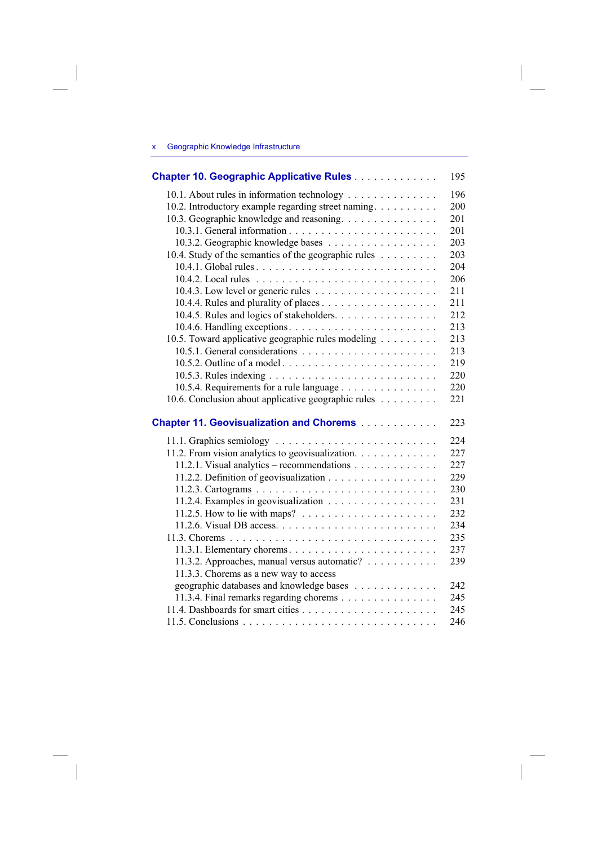## x Geographic Knowledge Infrastructure

 $\overline{\phantom{a}}$ 

| Chapter 10. Geographic Applicative Rules                                  | 195 |
|---------------------------------------------------------------------------|-----|
| 10.1. About rules in information technology                               | 196 |
| 10.2. Introductory example regarding street naming.                       | 200 |
| 10.3. Geographic knowledge and reasoning.                                 | 201 |
|                                                                           | 201 |
| 10.3.2. Geographic knowledge bases                                        | 203 |
| 10.4. Study of the semantics of the geographic rules                      | 203 |
|                                                                           | 204 |
|                                                                           | 206 |
|                                                                           | 211 |
|                                                                           | 211 |
| 10.4.5. Rules and logics of stakeholders.                                 | 212 |
|                                                                           | 213 |
| 10.5. Toward applicative geographic rules modeling                        | 213 |
|                                                                           | 213 |
| 10.5.2. Outline of a model                                                | 219 |
|                                                                           | 220 |
| 10.5.4. Requirements for a rule language                                  | 220 |
| 10.6. Conclusion about applicative geographic rules                       | 221 |
| <b>Chapter 11. Geovisualization and Chorems</b>                           | 223 |
|                                                                           | 224 |
| 11.2. From vision analytics to geovisualization.                          | 227 |
| 11.2.1. Visual analytics - recommendations                                | 227 |
| 11.2.2. Definition of geovisualization                                    | 229 |
|                                                                           | 230 |
| 11.2.4. Examples in geovisualization                                      | 231 |
| 11.2.5. How to lie with maps? $\ldots \ldots \ldots \ldots \ldots \ldots$ | 232 |
|                                                                           | 234 |
|                                                                           | 235 |
|                                                                           | 237 |
| 11.3.2. Approaches, manual versus automatic?                              | 239 |
| 11.3.3. Chorems as a new way to access                                    |     |
| geographic databases and knowledge bases                                  | 242 |
| 11.3.4. Final remarks regarding chorems                                   | 245 |
|                                                                           | 245 |
|                                                                           | 246 |